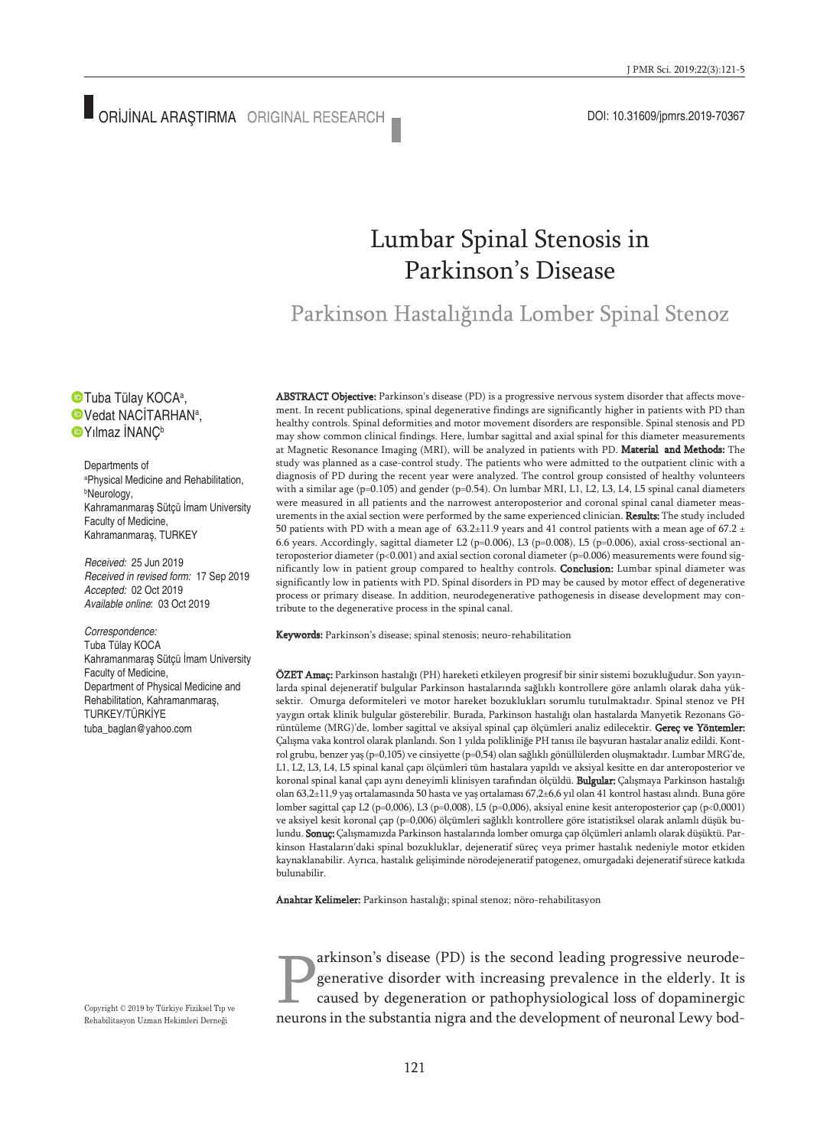# Lumbar Spinal Stenosis in Parkinson's Disease

Parkinson Hastalığında Lomber Spinal Stenoz

Tuba Tülay KOCAª, Vedat NACİTARHANª, **D**Yılmaz İNANC<sup>b</sup>

Departments of a Physical Medicine and Rehabilitation, b Neurology, Kahramanmaraş Sütçü İmam University Faculty of Medicine, Kahramanmaraş, TURKEY

*Received:* 25 Jun 2019 *Received in revised form:* 17 Sep 2019 *Accepted:* 02 Oct 2019 *Available online*: 03 Oct 2019

*Correspondence:* Tuba Tülay KOCA Kahramanmaraş Sütçü İmam University Faculty of Medicine, Department of Physical Medicine and Rehabilitation, Kahramanmaraş, TURKEY/TÜRKİYE tuba\_baglan@yahoo.com

ABSTRACT Objective: Parkinson's disease (PD) is a progressive nervous system disorder that affects movement. In recent publications, spinal degenerative findings are significantly higher in patients with PD than healthy controls. Spinal deformities and motor movement disorders are responsible. Spinal stenosis and PD may show common clinical findings. Here, lumbar sagittal and axial spinal for this diameter measurements at Magnetic Resonance Imaging (MRI), will be analyzed in patients with PD. Material and Methods: The study was planned as a case-control study. The patients who were admitted to the outpatient clinic with a diagnosis of PD during the recent year were analyzed. The control group consisted of healthy volunteers with a similar age (p=0.105) and gender (p=0.54). On lumbar MRI, L1, L2, L3, L4, L5 spinal canal diameters were measured in all patients and the narrowest anteroposterior and coronal spinal canal diameter measurements in the axial section were performed by the same experienced clinician. Results: The study included 50 patients with PD with a mean age of  $63.2\pm11.9$  years and 41 control patients with a mean age of 67.2  $\pm$ 6.6 years. Accordingly, sagittal diameter L2 (p=0.006), L3 (p=0.008), L5 (p=0.006), axial cross-sectional anteroposterior diameter (p<0.001) and axial section coronal diameter (p=0.006) measurements were found significantly low in patient group compared to healthy controls. Conclusion: Lumbar spinal diameter was significantly low in patients with PD. Spinal disorders in PD may be caused by motor effect of degenerative process or primary disease. In addition, neurodegenerative pathogenesis in disease development may contribute to the degenerative process in the spinal canal.

Keywords: Parkinson's disease; spinal stenosis; neuro-rehabilitation

ÖZET Amaç: Parkinson hastalığı (PH) hareketi etkileyen progresif bir sinir sistemi bozukluğudur. Son yayınlarda spinal dejeneratif bulgular Parkinson hastalarında sağlıklı kontrollere göre anlamlı olarak daha yüksektir. Omurga deformiteleri ve motor hareket bozuklukları sorumlu tutulmaktadır. Spinal stenoz ve PH yaygın ortak klinik bulgular gösterebilir. Burada, Parkinson hastalığı olan hastalarda Manyetik Rezonans Görüntüleme (MRG)'de, lomber sagittal ve aksiyal spinal çap ölçümleri analiz edilecektir. Gereç ve Yöntemler: Çalışma vaka kontrol olarak planlandı. Son 1 yılda polikliniğe PH tanısı ile başvuran hastalar analiz edildi. Kontrol grubu, benzer yaş (p=0,105) ve cinsiyette (p=0,54) olan sağlıklı gönüllülerden oluşmaktadır. Lumbar MRG'de, L1, L2, L3, L4, L5 spinal kanal çapı ölçümleri tüm hastalara yapıldı ve aksiyal kesitte en dar anteroposterior ve koronal spinal kanal çapı aynı deneyimli klinisyen tarafından ölçüldü. **Bulgular:** Çalışmaya Parkinson hastalığı olan 63,2±11,9 yaş ortalamasında 50 hasta ve yaş ortalaması 67,2±6,6 yıl olan 41 kontrol hastası alındı. Buna göre lomber sagittal çap L2 (p=0,006), L3 (p=0,008), L5 (p=0,006), aksiyal enine kesit anteroposterior çap (p<0,0001) ve aksiyel kesit koronal çap (p=0,006) ölçümleri sağlıklı kontrollere göre istatistiksel olarak anlamlı düşük bulundu. Sonuç: Çalışmamızda Parkinson hastalarında lomber omurga çap ölçümleri anlamlı olarak düşüktü. Parkinson Hastaların'daki spinal bozukluklar, dejeneratif süreç veya primer hastalık nedeniyle motor etkiden kaynaklanabilir. Ayrıca, hastalık gelişiminde nörodejeneratif patogenez, omurgadaki dejeneratif sürece katkıda bulunabilir.

Anahtar Kelimeler: Parkinson hastalığı; spinal stenoz; nöro-rehabilitasyon

arkinson's disease (PD) is the second leading progressive neurodegenerative disorder with increasing prevalence in the elderly. It is caused by degeneration or pathophysiological loss of dopaminergic neurons in the substantia nigra and the development of neuronal Lewy bod-

Copyright © 2019 by Türkiye Fiziksel Tıp ve Rehabilitasyon Uzman Hekimleri Derneği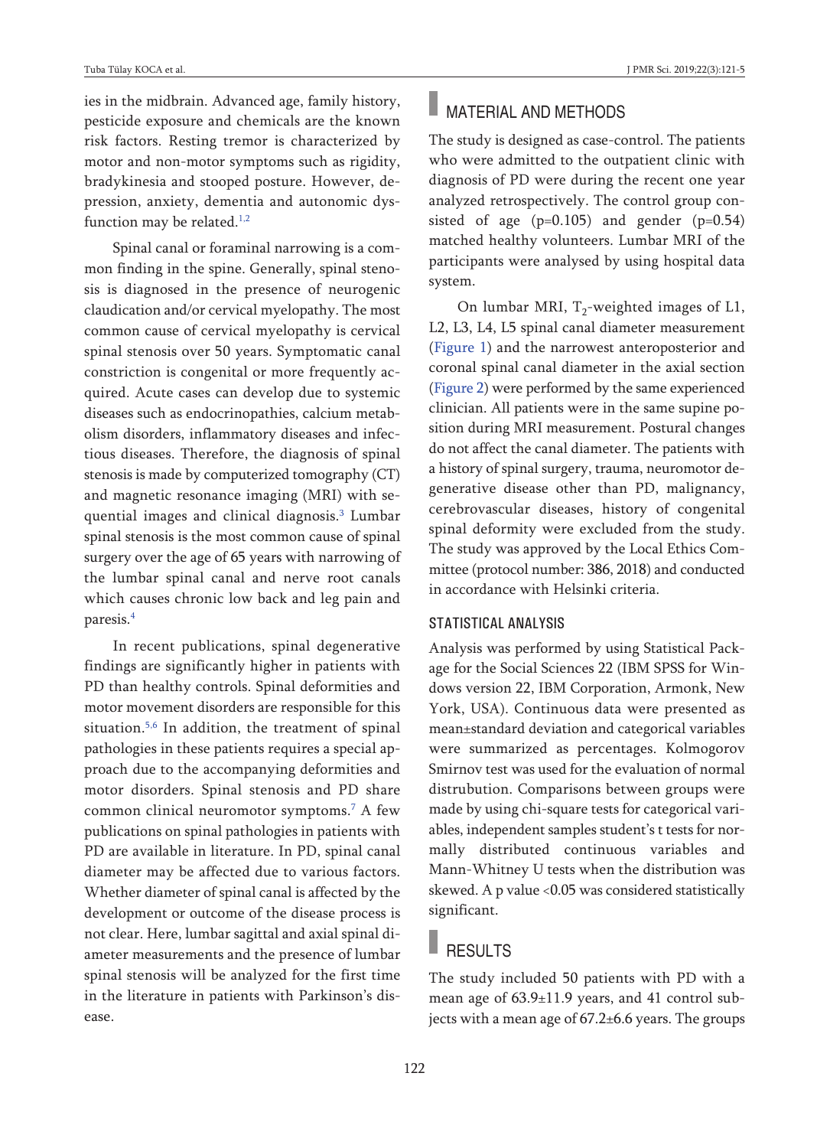ies in the midbrain. Advanced age, family history, pesticide exposure and chemicals are the known risk factors. Resting tremor is characterized by motor and non-motor symptoms such as rigidity, bradykinesia and stooped posture. However, depression, anxiety, dementia and autonomic dys-function may be related.<sup>[1,2](#page-4-0)</sup>

Spinal canal or foraminal narrowing is a common finding in the spine. Generally, spinal stenosis is diagnosed in the presence of neurogenic claudication and/or cervical myelopathy. The most common cause of cervical myelopathy is cervical spinal stenosis over 50 years. Symptomatic canal constriction is congenital or more frequently acquired. Acute cases can develop due to systemic diseases such as endocrinopathies, calcium metabolism disorders, inflammatory diseases and infectious diseases. Therefore, the diagnosis of spinal stenosis is made by computerized tomography (CT) and magnetic resonance imaging (MRI) with sequential images and clinical diagnosis. [3](#page-4-0) Lumbar spinal stenosis is the most common cause of spinal surgery over the age of 65 years with narrowing of the lumbar spinal canal and nerve root canals which causes chronic low back and leg pain and paresis. [4](#page-4-0)

In recent publications, spinal degenerative findings are significantly higher in patients with PD than healthy controls. Spinal deformities and motor movement disorders are responsible for this situation. [5,6](#page-4-0) In addition, the treatment of spinal pathologies in these patients requires a special approach due to the accompanying deformities and motor disorders. Spinal stenosis and PD share common clinical neuromotor symptoms. [7](#page-4-0) A few publications on spinal pathologies in patients with PD are available in literature. In PD, spinal canal diameter may be affected due to various factors. Whether diameter of spinal canal is affected by the development or outcome of the disease process is not clear. Here, lumbar sagittal and axial spinal diameter measurements and the presence of lumbar spinal stenosis will be analyzed for the first time in the literature in patients with Parkinson's disease.

# **MATERIAL AND METHODS**

The study is designed as case-control. The patients who were admitted to the outpatient clinic with diagnosis of PD were during the recent one year analyzed retrospectively. The control group consisted of age  $(p=0.105)$  and gender  $(p=0.54)$ matched healthy volunteers. Lumbar MRI of the participants were analysed by using hospital data system.

On lumbar MRI,  $T_2$ -weighted images of L1, L2, L3, L4, L5 spinal canal diameter measurement [\(Figure](#page-2-1) 1) and the narrowest anteroposterior and coronal spinal canal diameter in the axial section [\(Figure](#page-2-0) 2) were performed by the same experienced clinician. All patients were in the same supine position during MRI measurement. Postural changes do not affect the canal diameter. The patients with a history of spinal surgery, trauma, neuromotor degenerative disease other than PD, malignancy, cerebrovascular diseases, history of congenital spinal deformity were excluded from the study. The study was approved by the Local Ethics Committee (protocol number: 386, 2018) and conducted in accordance with Helsinki criteria.

#### STATISTICAL ANALYSIS

Analysis was performed by using Statistical Package for the Social Sciences 22 (IBM SPSS for Windows version 22, IBM Corporation, Armonk, New York, USA). Continuous data were presented as mean±standard deviation and categorical variables were summarized as percentages. Kolmogorov Smirnov test was used for the evaluation of normal distrubution. Comparisons between groups were made by using chi-square tests for categorical variables, independent samples student's t tests for normally distributed continuous variables and Mann-Whitney U tests when the distribution was skewed. A p value <0.05 was considered statistically significant.

## RESULTS

The study included 50 patients with PD with a mean age of 63.9±11.9 years, and 41 control subjects with a mean age of 67.2±6.6 years. The groups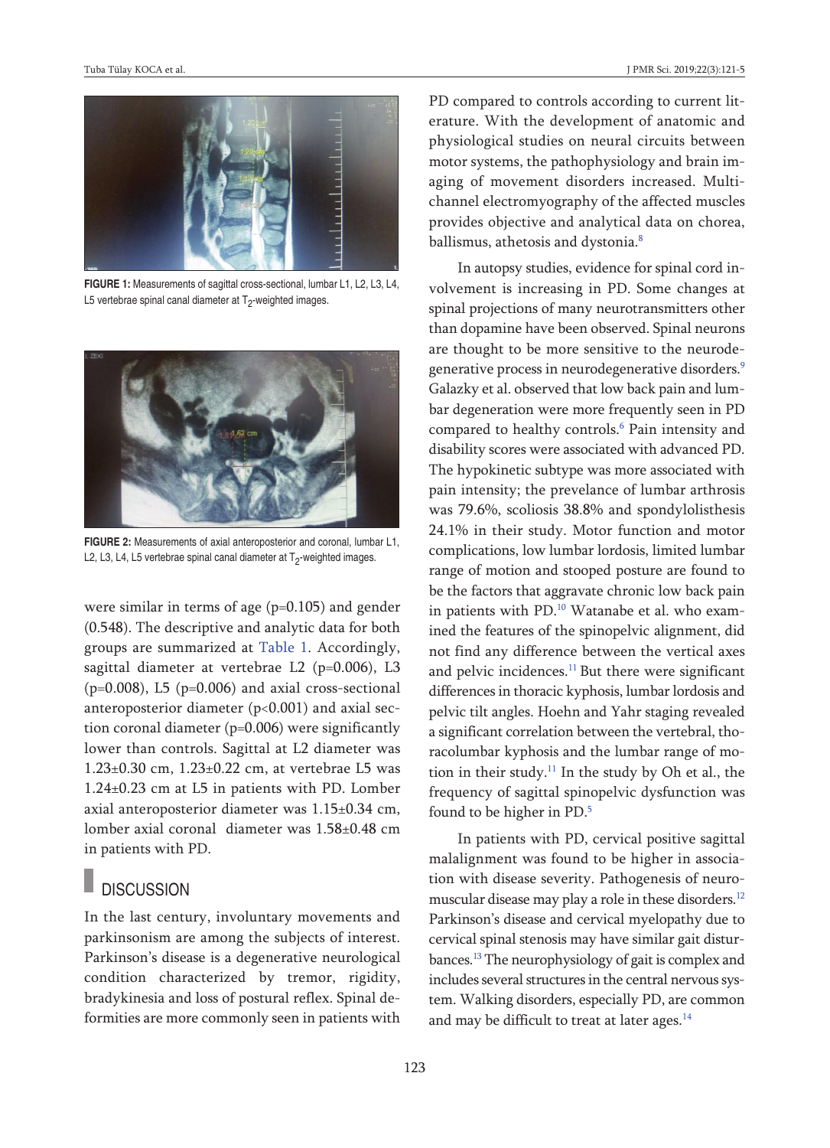

**FIGURE 1:** Measurements of sagittal cross-sectional, lumbar L1, L2, L3, L4, L5 vertebrae spinal canal diameter at  $T_2$ -weighted images.



**FIGURE 2:** Measurements of axial anteroposterior and coronal, lumbar L1, L2, L3, L4, L5 vertebrae spinal canal diameter at  $T<sub>2</sub>$ -weighted images.

were similar in terms of age (p=0.105) and gender (0.548). The descriptive and analytic data for both groups are summarized at [Table](#page-3-0) 1. Accordingly, sagittal diameter at vertebrae L2 (p=0.006), L3  $(p=0.008)$ , L5  $(p=0.006)$  and axial cross-sectional anteroposterior diameter (p<0.001) and axial section coronal diameter (p=0.006) were significantly lower than controls. Sagittal at L2 diameter was 1.23±0.30 cm, 1.23±0.22 cm, at vertebrae L5 was 1.24±0.23 cm at L5 in patients with PD. Lomber axial anteroposterior diameter was 1.15±0.34 cm, lomber axial coronal diameter was 1.58±0.48 cm in patients with PD.

### **DISCUSSION**

In the last century, involuntary movements and parkinsonism are among the subjects of interest. Parkinson's disease is a degenerative neurological condition characterized by tremor, rigidity, bradykinesia and loss of postural reflex. Spinal deformities are more commonly seen in patients with PD compared to controls according to current literature. With the development of anatomic and physiological studies on neural circuits between motor systems, the pathophysiology and brain imaging of movement disorders increased. Multichannel electromyography of the affected muscles provides objective and analytical data on chorea, ballismus, athetosis and dystonia. [8](#page-4-0)

<span id="page-2-1"></span><span id="page-2-0"></span>In autopsy studies, evidence for spinal cord involvement is increasing in PD. Some changes at spinal projections of many neurotransmitters other than dopamine have been observed. Spinal neurons are thought to be more sensitive to the neurodegenerative process in neurodegenerative disorders. [9](#page-4-0) Galazky et al. observed that low back pain and lumbar degeneration were more frequently seen in PD compared to healthy controls. [6](#page-4-0) Pain intensity and disability scores were associated with advanced PD. The hypokinetic subtype was more associated with pain intensity; the prevelance of lumbar arthrosis was 79.6%, scoliosis 38.8% and spondylolisthesis 24.1% in their study. Motor function and motor complications, low lumbar lordosis, limited lumbar range of motion and stooped posture are found to be the factors that aggravate chronic low back pain in patients with PD. [10](#page-4-0) Watanabe et al. who examined the features of the spinopelvic alignment, did not find any difference between the vertical axes and pelvic incidences.<sup>[11](#page-4-0)</sup> But there were significant differences in thoracic kyphosis, lumbar lordosis and pelvic tilt angles. Hoehn and Yahr staging revealed a significant correlation between the vertebral, thoracolumbar kyphosis and the lumbar range of motion in their study. [11](#page-4-0) In the study by Oh et al., the frequency of sagittal spinopelvic dysfunction was found to be higher in PD. [5](#page-4-0)

In patients with PD, cervical positive sagittal malalignment was found to be higher in association with disease severity. Pathogenesis of neuromuscular disease may play a role in these disorders. [12](#page-4-0) Parkinson's disease and cervical myelopathy due to cervical spinal stenosis may have similar gait disturbances. [13](#page-4-0) The neurophysiology of gait is complex and includes several structures in the central nervous system. Walking disorders, especially PD, are common and may be difficult to treat at later ages.<sup>[14](#page-4-0)</sup>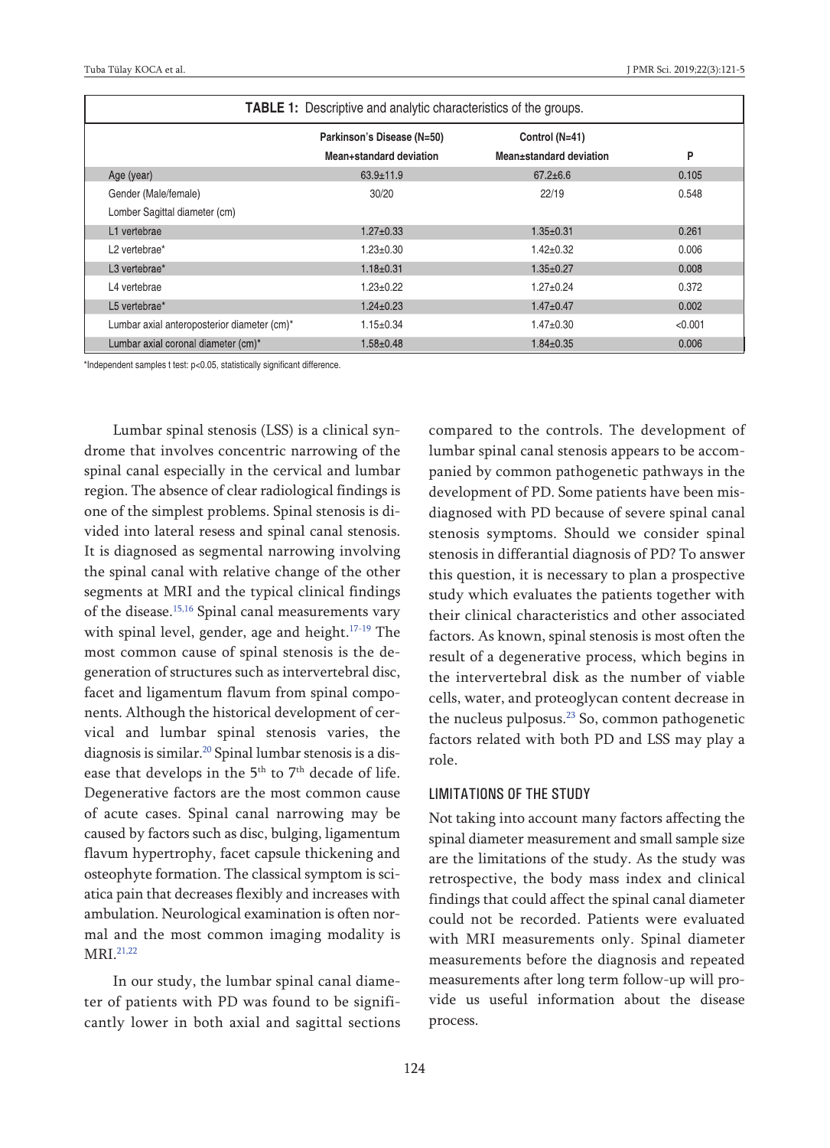| <b>TABLE 1:</b> Descriptive and analytic characteristics of the groups. |                            |                         |         |
|-------------------------------------------------------------------------|----------------------------|-------------------------|---------|
|                                                                         | Parkinson's Disease (N=50) | Control (N=41)          |         |
|                                                                         | Mean+standard deviation    | Mean+standard deviation | P       |
| Age (year)                                                              | $63.9 \pm 11.9$            | $67.2 \pm 6.6$          | 0.105   |
| Gender (Male/female)                                                    | 30/20                      | 22/19                   | 0.548   |
| Lomber Sagittal diameter (cm)                                           |                            |                         |         |
| L1 vertebrae                                                            | $1.27 \pm 0.33$            | $1.35 \pm 0.31$         | 0.261   |
| L <sub>2</sub> vertebrae <sup>*</sup>                                   | $1.23 \pm 0.30$            | $1.42 \pm 0.32$         | 0.006   |
| L3 vertebrae*                                                           | $1.18 \pm 0.31$            | $1.35 \pm 0.27$         | 0.008   |
| L4 vertebrae                                                            | $1.23 \pm 0.22$            | $1.27 \pm 0.24$         | 0.372   |
| L5 vertebrae*                                                           | $1.24 \pm 0.23$            | $1.47 \pm 0.47$         | 0.002   |
| Lumbar axial anteroposterior diameter (cm)*                             | $1.15 \pm 0.34$            | $1.47 \pm 0.30$         | < 0.001 |
| Lumbar axial coronal diameter (cm)*                                     | $1.58 \pm 0.48$            | $1.84 \pm 0.35$         | 0.006   |

\*Independent samples t test: p<0.05, statistically significant difference.

Lumbar spinal stenosis (LSS) is a clinical syndrome that involves concentric narrowing of the spinal canal especially in the cervical and lumbar region. The absence of clear radiological findings is one of the simplest problems. Spinal stenosis is divided into lateral resess and spinal canal stenosis. It is diagnosed as segmental narrowing involving the spinal canal with relative change of the other segments at MRI and the typical clinical findings of the disease. [15,16](#page-4-0) Spinal canal measurements vary with spinal level, gender, age and height. [17-19](#page-4-0) The most common cause of spinal stenosis is the degeneration of structures such as intervertebral disc, facet and ligamentum flavum from spinal components. Although the historical development of cervical and lumbar spinal stenosis varies, the diagnosis is similar. [20](#page-4-0) Spinal lumbar stenosis is a disease that develops in the 5<sup>th</sup> to 7<sup>th</sup> decade of life. Degenerative factors are the most common cause of acute cases. Spinal canal narrowing may be caused by factors such as disc, bulging, ligamentum flavum hypertrophy, facet capsule thickening and osteophyte formation. The classical symptom is sciatica pain that decreases flexibly and increases with ambulation. Neurological examination is often normal and the most common imaging modality is MRI. [21,22](#page-4-0)

In our study, the lumbar spinal canal diameter of patients with PD was found to be significantly lower in both axial and sagittal sections <span id="page-3-0"></span>compared to the controls. The development of lumbar spinal canal stenosis appears to be accompanied by common pathogenetic pathways in the development of PD. Some patients have been misdiagnosed with PD because of severe spinal canal stenosis symptoms. Should we consider spinal stenosis in differantial diagnosis of PD? To answer this question, it is necessary to plan a prospective study which evaluates the patients together with their clinical characteristics and other associated factors. As known, spinal stenosis is most often the result of a degenerative process, which begins in the intervertebral disk as the number of viable cells, water, and proteoglycan content decrease in the nucleus pulposus. [23](#page-4-0) So, common pathogenetic factors related with both PD and LSS may play a role.

#### LIMITATIONS OF THE STUDY

Not taking into account many factors affecting the spinal diameter measurement and small sample size are the limitations of the study. As the study was retrospective, the body mass index and clinical findings that could affect the spinal canal diameter could not be recorded. Patients were evaluated with MRI measurements only. Spinal diameter measurements before the diagnosis and repeated measurements after long term follow-up will provide us useful information about the disease process.